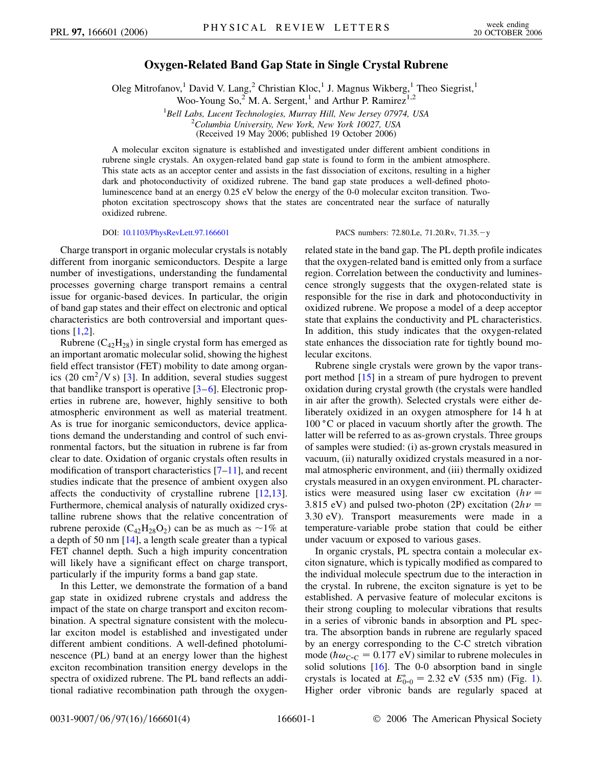## **Oxygen-Related Band Gap State in Single Crystal Rubrene**

Oleg Mitrofanov,<sup>1</sup> David V. Lang,<sup>2</sup> Christian Kloc,<sup>1</sup> J. Magnus Wikberg,<sup>1</sup> Theo Siegrist,<sup>1</sup>

Woo-Young So,<sup>2</sup> M. A. Sergent,<sup>1</sup> and Arthur P. Ramirez<sup>1,2</sup>

<sup>1</sup> Bell Labs, Lucent Technologies, Murray Hill, New Jersey 07974, USA<br><sup>2</sup>Columbia University, New York, New York 10027, USA *Columbia University, New York, New York 10027, USA* (Received 19 May 2006; published 19 October 2006)

A molecular exciton signature is established and investigated under different ambient conditions in rubrene single crystals. An oxygen-related band gap state is found to form in the ambient atmosphere. This state acts as an acceptor center and assists in the fast dissociation of excitons, resulting in a higher dark and photoconductivity of oxidized rubrene. The band gap state produces a well-defined photoluminescence band at an energy 0.25 eV below the energy of the 0-0 molecular exciton transition. Twophoton excitation spectroscopy shows that the states are concentrated near the surface of naturally oxidized rubrene.

Charge transport in organic molecular crystals is notably different from inorganic semiconductors. Despite a large number of investigations, understanding the fundamental processes governing charge transport remains a central issue for organic-based devices. In particular, the origin of band gap states and their effect on electronic and optical characteristics are both controversial and important questions [[1](#page-3-0),[2\]](#page-3-1).

Rubrene  $(C_{42}H_{28})$  in single crystal form has emerged as an important aromatic molecular solid, showing the highest field effect transistor (FET) mobility to date among organ-ics (20 cm<sup>2</sup>/V s) [\[3](#page-3-2)]. In addition, several studies suggest that bandlike transport is operative  $[3-6]$  $[3-6]$  $[3-6]$  $[3-6]$  $[3-6]$ . Electronic properties in rubrene are, however, highly sensitive to both atmospheric environment as well as material treatment. As is true for inorganic semiconductors, device applications demand the understanding and control of such environmental factors, but the situation in rubrene is far from clear to date. Oxidation of organic crystals often results in modification of transport characteristics  $[7-11]$  $[7-11]$  $[7-11]$  $[7-11]$ , and recent studies indicate that the presence of ambient oxygen also affects the conductivity of crystalline rubrene [\[12](#page-3-6)[,13\]](#page-3-7). Furthermore, chemical analysis of naturally oxidized crystalline rubrene shows that the relative concentration of rubrene peroxide  $(C_{42}H_{28}O_2)$  can be as much as  $\sim$ 1% at a depth of 50 nm [\[14\]](#page-3-8), a length scale greater than a typical FET channel depth. Such a high impurity concentration will likely have a significant effect on charge transport, particularly if the impurity forms a band gap state.

In this Letter, we demonstrate the formation of a band gap state in oxidized rubrene crystals and address the impact of the state on charge transport and exciton recombination. A spectral signature consistent with the molecular exciton model is established and investigated under different ambient conditions. A well-defined photoluminescence (PL) band at an energy lower than the highest exciton recombination transition energy develops in the spectra of oxidized rubrene. The PL band reflects an additional radiative recombination path through the oxygen-

DOI: [10.1103/PhysRevLett.97.166601](http://dx.doi.org/10.1103/PhysRevLett.97.166601) PACS numbers: 72.80.Le, 71.20.Rv, 71.35.-y

related state in the band gap. The PL depth profile indicates that the oxygen-related band is emitted only from a surface region. Correlation between the conductivity and luminescence strongly suggests that the oxygen-related state is responsible for the rise in dark and photoconductivity in oxidized rubrene. We propose a model of a deep acceptor state that explains the conductivity and PL characteristics. In addition, this study indicates that the oxygen-related state enhances the dissociation rate for tightly bound molecular excitons.

Rubrene single crystals were grown by the vapor transport method [\[15\]](#page-3-9) in a stream of pure hydrogen to prevent oxidation during crystal growth (the crystals were handled in air after the growth). Selected crystals were either deliberately oxidized in an oxygen atmosphere for 14 h at 100 °C or placed in vacuum shortly after the growth. The latter will be referred to as as-grown crystals. Three groups of samples were studied: (i) as-grown crystals measured in vacuum, (ii) naturally oxidized crystals measured in a normal atmospheric environment, and (iii) thermally oxidized crystals measured in an oxygen environment. PL characteristics were measured using laser cw excitation  $(h\nu =$ 3.815 eV) and pulsed two-photon (2P) excitation ( $2hv =$ 3*:*30 eV). Transport measurements were made in a temperature-variable probe station that could be either under vacuum or exposed to various gases.

In organic crystals, PL spectra contain a molecular exciton signature, which is typically modified as compared to the individual molecule spectrum due to the interaction in the crystal. In rubrene, the exciton signature is yet to be established. A pervasive feature of molecular excitons is their strong coupling to molecular vibrations that results in a series of vibronic bands in absorption and PL spectra. The absorption bands in rubrene are regularly spaced by an energy corresponding to the C-C stretch vibration mode ( $\hbar \omega_{C-C} = 0.177 \text{ eV}$ ) similar to rubrene molecules in solid solutions [\[16\]](#page-3-10). The 0-0 absorption band in single crystals is located at  $E_{0-0}^* = 2.32 \text{ eV}$  (535 nm) (Fig. [1\)](#page-1-0). Higher order vibronic bands are regularly spaced at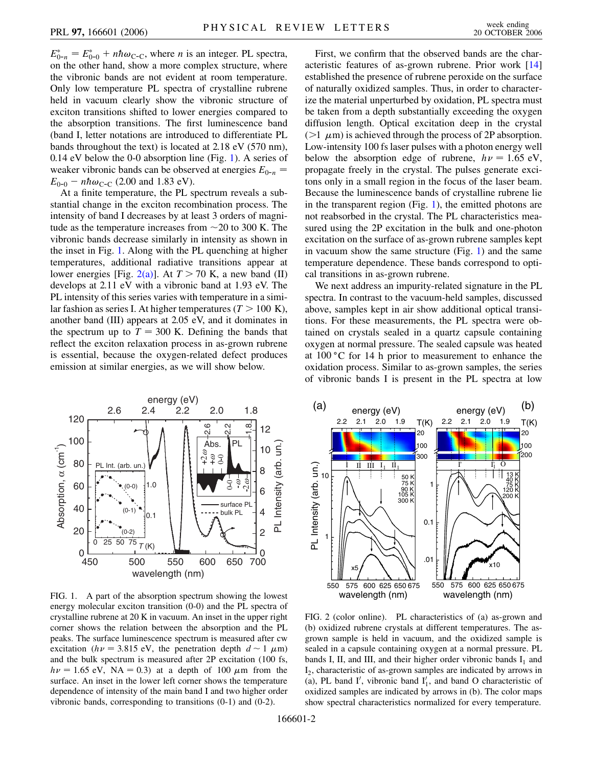$E_{0-n}^* = E_{0-0}^* + n\hbar\omega_{\text{C-C}}$ , where *n* is an integer. PL spectra, on the other hand, show a more complex structure, where the vibronic bands are not evident at room temperature. Only low temperature PL spectra of crystalline rubrene held in vacuum clearly show the vibronic structure of exciton transitions shifted to lower energies compared to the absorption transitions. The first luminescence band (band I, letter notations are introduced to differentiate PL bands throughout the text) is located at 2.18 eV (570 nm), 0.14 eV below the 0-0 absorption line (Fig. [1](#page-1-0)). A series of weaker vibronic bands can be observed at energies  $E_{0-n}$  $E_{0-0} - nh\omega_{C-C}$  (2.00 and 1.83 eV).

At a finite temperature, the PL spectrum reveals a substantial change in the exciton recombination process. The intensity of band I decreases by at least 3 orders of magnitude as the temperature increases from  $\sim$  20 to 300 K. The vibronic bands decrease similarly in intensity as shown in the inset in Fig. [1](#page-1-0). Along with the PL quenching at higher temperatures, additional radiative transitions appear at lower energies [Fig.  $2(a)$ ]. At  $T > 70$  K, a new band (II) develops at 2.11 eV with a vibronic band at 1.93 eV. The PL intensity of this series varies with temperature in a similar fashion as series I. At higher temperatures (*T >* 100 K), another band (III) appears at 2.05 eV, and it dominates in the spectrum up to  $T = 300$  K. Defining the bands that reflect the exciton relaxation process in as-grown rubrene is essential, because the oxygen-related defect produces emission at similar energies, as we will show below.

<span id="page-1-0"></span>energy (eV)<br>2.4 2.2 2.6 2.4 2.2 2.0 1.8 120 <u>.</u><br>ဖေ့ လ 12 100 Abs. PL Intensity (arb. un.) Intensity (arb. un.  $\alpha$  (cm $^1$ ) 10 **+**2ω **+**ω 0**-**0 80 . Int. (arb. un.) 8 **-**ω **-**2ω Absorption, 60 0**-**0 (0-0) 1.0 6 surface PL 40  $(0 - 1)$  bulk PL 4  $0.1$ 군 20 2  $(0-2)$  $0$  25 50 75 *T* (K)  $0 -$ <br>450 0 —<br>700 450 500 550 600 650 700



wavelength (nm)

acteristic features of as-grown rubrene. Prior work [\[14\]](#page-3-8) established the presence of rubrene peroxide on the surface of naturally oxidized samples. Thus, in order to characterize the material unperturbed by oxidation, PL spectra must be taken from a depth substantially exceeding the oxygen diffusion length. Optical excitation deep in the crystal  $(>1 \mu m)$  is achieved through the process of 2P absorption. Low-intensity 100 fs laser pulses with a photon energy well below the absorption edge of rubrene,  $h\nu = 1.65$  eV, propagate freely in the crystal. The pulses generate excitons only in a small region in the focus of the laser beam. Because the luminescence bands of crystalline rubrene lie in the transparent region (Fig. [1\)](#page-1-0), the emitted photons are not reabsorbed in the crystal. The PL characteristics measured using the 2P excitation in the bulk and one-photon excitation on the surface of as-grown rubrene samples kept in vacuum show the same structure (Fig. [1](#page-1-0)) and the same temperature dependence. These bands correspond to optical transitions in as-grown rubrene.

First, we confirm that the observed bands are the char-

We next address an impurity-related signature in the PL spectra. In contrast to the vacuum-held samples, discussed above, samples kept in air show additional optical transitions. For these measurements, the PL spectra were obtained on crystals sealed in a quartz capsule containing oxygen at normal pressure. The sealed capsule was heated at  $100^{\circ}$ C for 14 h prior to measurement to enhance the oxidation process. Similar to as-grown samples, the series of vibronic bands I is present in the PL spectra at low



<span id="page-1-1"></span>FIG. 2 (color online). PL characteristics of (a) as-grown and (b) oxidized rubrene crystals at different temperatures. The asgrown sample is held in vacuum, and the oxidized sample is sealed in a capsule containing oxygen at a normal pressure. PL bands I, II, and III, and their higher order vibronic bands  $I_1$  and I2, characteristic of as-grown samples are indicated by arrows in (a), PL band I', vibronic band  $I'_1$ , and band O characteristic of oxidized samples are indicated by arrows in (b). The color maps show spectral characteristics normalized for every temperature.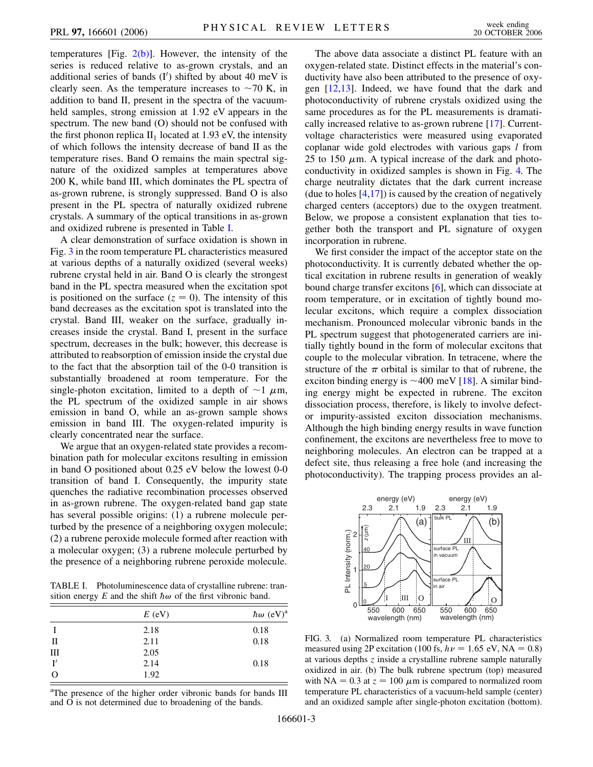temperatures [Fig.  $2(b)$ ]. However, the intensity of the series is reduced relative to as-grown crystals, and an additional series of bands  $(I')$  shifted by about 40 meV is clearly seen. As the temperature increases to  $\sim$ 70 K, in addition to band II, present in the spectra of the vacuumheld samples, strong emission at 1.92 eV appears in the spectrum. The new band (O) should not be confused with the first phonon replica  $II_1$  located at 1.93 eV, the intensity of which follows the intensity decrease of band II as the temperature rises. Band O remains the main spectral signature of the oxidized samples at temperatures above 200 K, while band III, which dominates the PL spectra of as-grown rubrene, is strongly suppressed. Band O is also present in the PL spectra of naturally oxidized rubrene crystals. A summary of the optical transitions in as-grown and oxidized rubrene is presented in Table [I](#page-2-0).

A clear demonstration of surface oxidation is shown in Fig. [3](#page-2-1) in the room temperature PL characteristics measured at various depths of a naturally oxidized (several weeks) rubrene crystal held in air. Band O is clearly the strongest band in the PL spectra measured when the excitation spot is positioned on the surface  $(z = 0)$ . The intensity of this band decreases as the excitation spot is translated into the crystal. Band III, weaker on the surface, gradually increases inside the crystal. Band I, present in the surface spectrum, decreases in the bulk; however, this decrease is attributed to reabsorption of emission inside the crystal due to the fact that the absorption tail of the 0-0 transition is substantially broadened at room temperature. For the single-photon excitation, limited to a depth of  $\sim$ 1  $\mu$ m, the PL spectrum of the oxidized sample in air shows emission in band O, while an as-grown sample shows emission in band III. The oxygen-related impurity is clearly concentrated near the surface.

We argue that an oxygen-related state provides a recombination path for molecular excitons resulting in emission in band O positioned about 0.25 eV below the lowest 0-0 transition of band I. Consequently, the impurity state quenches the radiative recombination processes observed in as-grown rubrene. The oxygen-related band gap state has several possible origins: (1) a rubrene molecule perturbed by the presence of a neighboring oxygen molecule; (2) a rubrene peroxide molecule formed after reaction with a molecular oxygen; (3) a rubrene molecule perturbed by the presence of a neighboring rubrene peroxide molecule.

<span id="page-2-0"></span>TABLE I. Photoluminescence data of crystalline rubrene: transition energy  $E$  and the shift  $\hbar \omega$  of the first vibronic band.

| 0.18 |
|------|
| 0.18 |
|      |
|      |
|      |

<sup>a</sup>The presence of the higher order vibronic bands for bands III and  $\overline{O}$  is not determined due to broadening of the bands.

The above data associate a distinct PL feature with an oxygen-related state. Distinct effects in the material's conductivity have also been attributed to the presence of oxygen [[12](#page-3-6),[13](#page-3-7)]. Indeed, we have found that the dark and photoconductivity of rubrene crystals oxidized using the same procedures as for the PL measurements is dramatically increased relative to as-grown rubrene [\[17\]](#page-3-11). Currentvoltage characteristics were measured using evaporated coplanar wide gold electrodes with various gaps *l* from 25 to 150  $\mu$ m. A typical increase of the dark and photoconductivity in oxidized samples is shown in Fig. [4.](#page-3-12) The charge neutrality dictates that the dark current increase (due to holes  $[4,17]$  $[4,17]$  $[4,17]$ ) is caused by the creation of negatively charged centers (acceptors) due to the oxygen treatment. Below, we propose a consistent explanation that ties together both the transport and PL signature of oxygen incorporation in rubrene.

We first consider the impact of the acceptor state on the photoconductivity. It is currently debated whether the optical excitation in rubrene results in generation of weakly bound charge transfer excitons [\[6\]](#page-3-3), which can dissociate at room temperature, or in excitation of tightly bound molecular excitons, which require a complex dissociation mechanism. Pronounced molecular vibronic bands in the PL spectrum suggest that photogenerated carriers are initially tightly bound in the form of molecular excitons that couple to the molecular vibration. In tetracene, where the structure of the  $\pi$  orbital is similar to that of rubrene, the exciton binding energy is  $\sim$  400 meV [\[18\]](#page-3-14). A similar binding energy might be expected in rubrene. The exciton dissociation process, therefore, is likely to involve defector impurity-assisted exciton dissociation mechanisms. Although the high binding energy results in wave function confinement, the excitons are nevertheless free to move to neighboring molecules. An electron can be trapped at a defect site, thus releasing a free hole (and increasing the photoconductivity). The trapping process provides an al-

<span id="page-2-1"></span>

FIG. 3. (a) Normalized room temperature PL characteristics measured using 2P excitation (100 fs,  $h\nu = 1.65$  eV, NA = 0.8) at various depths *z* inside a crystalline rubrene sample naturally oxidized in air. (b) The bulk rubrene spectrum (top) measured with NA = 0.3 at  $z = 100 \mu m$  is compared to normalized room temperature PL characteristics of a vacuum-held sample (center) and an oxidized sample after single-photon excitation (bottom).